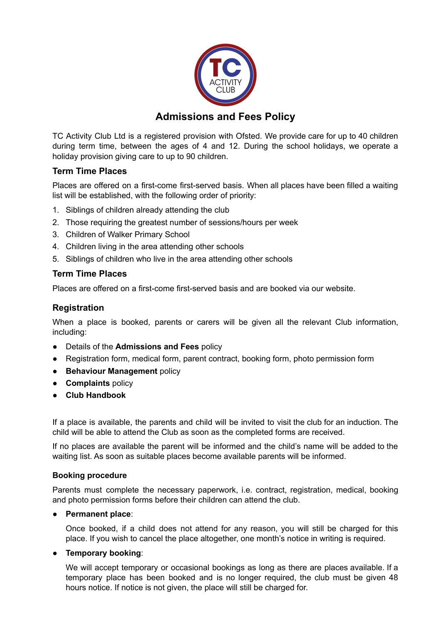

# **Admissions and Fees Policy**

TC Activity Club Ltd is a registered provision with Ofsted. We provide care for up to 40 children during term time, between the ages of 4 and 12. During the school holidays, we operate a holiday provision giving care to up to 90 children.

# **Term Time Places**

Places are offered on a first-come first-served basis. When all places have been filled a waiting list will be established, with the following order of priority:

- 1. Siblings of children already attending the club
- 2. Those requiring the greatest number of sessions/hours per week
- 3. Children of Walker Primary School
- 4. Children living in the area attending other schools
- 5. Siblings of children who live in the area attending other schools

### **Term Time Places**

Places are offered on a first-come first-served basis and are booked via our website.

# **Registration**

When a place is booked, parents or carers will be given all the relevant Club information, including:

- Details of the **Admissions and Fees** policy
- Registration form, medical form, parent contract, booking form, photo permission form
- **Behaviour Management** policy
- **Complaints** policy
- **● Club Handbook**

If a place is available, the parents and child will be invited to visit the club for an induction. The child will be able to attend the Club as soon as the completed forms are received.

If no places are available the parent will be informed and the child's name will be added to the waiting list. As soon as suitable places become available parents will be informed.

#### **Booking procedure**

Parents must complete the necessary paperwork, i.e. contract, registration, medical, booking and photo permission forms before their children can attend the club.

#### ● **Permanent place**:

Once booked, if a child does not attend for any reason, you will still be charged for this place. If you wish to cancel the place altogether, one month's notice in writing is required.

#### ● **Temporary booking**:

We will accept temporary or occasional bookings as long as there are places available. If a temporary place has been booked and is no longer required, the club must be given 48 hours notice. If notice is not given, the place will still be charged for.